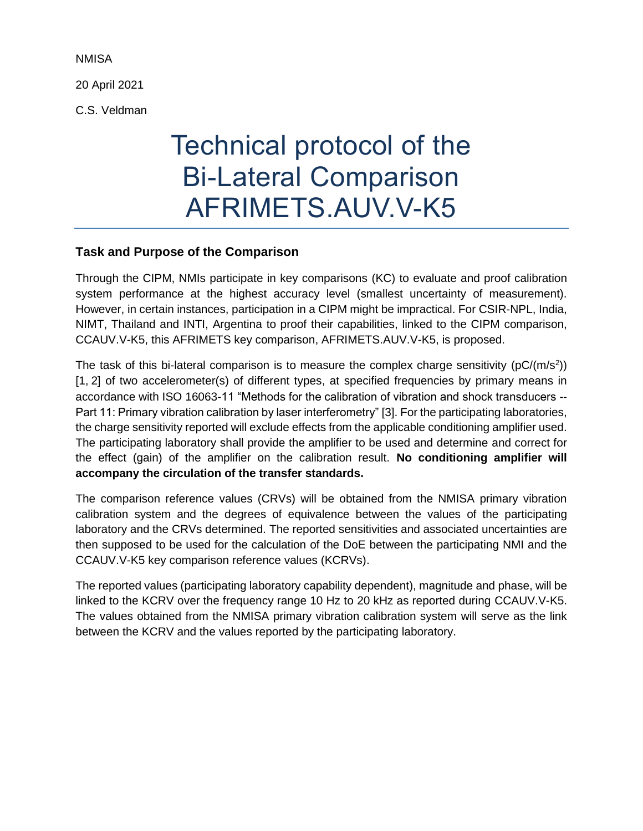**NMISA** 

20 April 2021

C.S. Veldman

# Technical protocol of the Bi-Lateral Comparison AFRIMETS.AUV.V-K5

## **Task and Purpose of the Comparison**

Through the CIPM, NMIs participate in key comparisons (KC) to evaluate and proof calibration system performance at the highest accuracy level (smallest uncertainty of measurement). However, in certain instances, participation in a CIPM might be impractical. For CSIR-NPL, India, NIMT, Thailand and INTI, Argentina to proof their capabilities, linked to the CIPM comparison, CCAUV.V-K5, this AFRIMETS key comparison, AFRIMETS.AUV.V-K5, is proposed.

The task of this bi-lateral comparison is to measure the complex charge sensitivity ( $pC/(m/s^2)$ ) [1, 2] of two accelerometer(s) of different types, at specified frequencies by primary means in accordance with ISO 16063-11 "Methods for the calibration of vibration and shock transducers -- Part 11: Primary vibration calibration by laser interferometry" [3]. For the participating laboratories, the charge sensitivity reported will exclude effects from the applicable conditioning amplifier used. The participating laboratory shall provide the amplifier to be used and determine and correct for the effect (gain) of the amplifier on the calibration result. **No conditioning amplifier will accompany the circulation of the transfer standards.**

The comparison reference values (CRVs) will be obtained from the NMISA primary vibration calibration system and the degrees of equivalence between the values of the participating laboratory and the CRVs determined. The reported sensitivities and associated uncertainties are then supposed to be used for the calculation of the DoE between the participating NMI and the CCAUV.V-K5 key comparison reference values (KCRVs).

The reported values (participating laboratory capability dependent), magnitude and phase, will be linked to the KCRV over the frequency range 10 Hz to 20 kHz as reported during CCAUV.V-K5. The values obtained from the NMISA primary vibration calibration system will serve as the link between the KCRV and the values reported by the participating laboratory.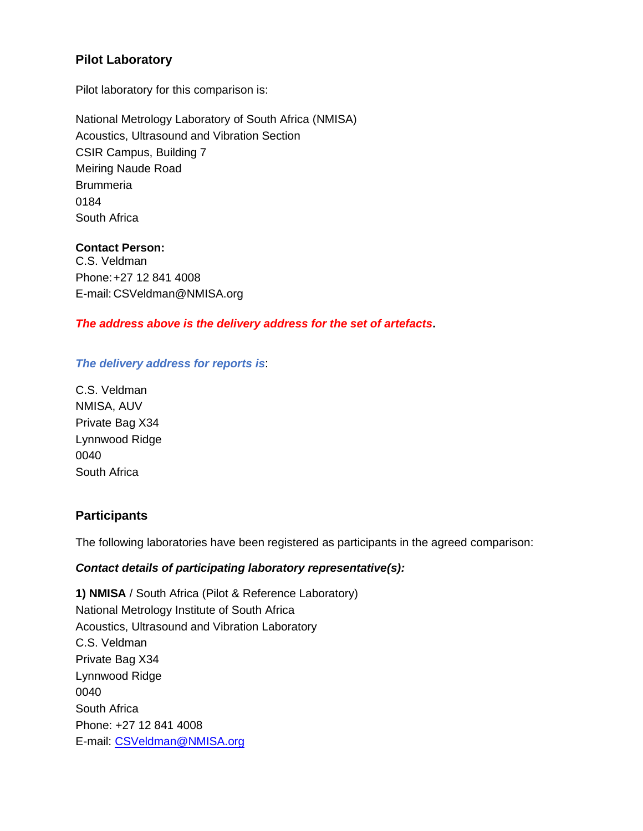## **Pilot Laboratory**

Pilot laboratory for this comparison is:

National Metrology Laboratory of South Africa (NMISA) Acoustics, Ultrasound and Vibration Section CSIR Campus, Building 7 Meiring Naude Road **Brummeria** 0184 South Africa

#### **Contact Person:**

C.S. Veldman Phone:+27 12 841 4008 E-mail: CSVeldman@NMISA.org

## *The address above is the delivery address for the set of artefacts***.**

## *The delivery address for reports is*:

C.S. Veldman NMISA, AUV Private Bag X34 Lynnwood Ridge 0040 South Africa

## **Participants**

The following laboratories have been registered as participants in the agreed comparison:

## *Contact details of participating laboratory representative(s):*

**1) NMISA** / South Africa (Pilot & Reference Laboratory) National Metrology Institute of South Africa Acoustics, Ultrasound and Vibration Laboratory C.S. Veldman Private Bag X34 Lynnwood Ridge 0040 South Africa Phone: +27 12 841 4008 E-mail: [CSVeldman@NMISA.org](mailto:CSVeldman@NMISA.org)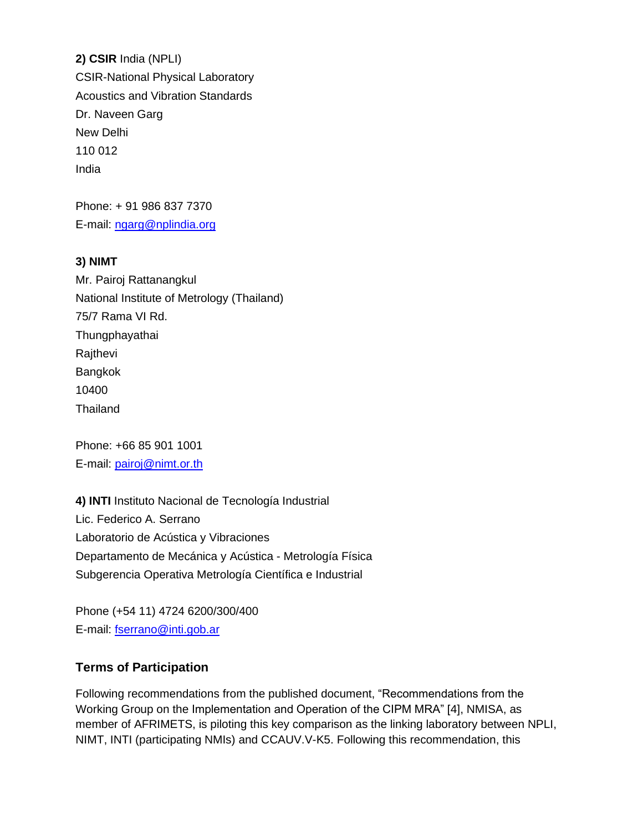**2) CSIR** India (NPLI) CSIR-National Physical Laboratory Acoustics and Vibration Standards Dr. Naveen Garg New Delhi 110 012 India

Phone: + 91 986 837 7370 E-mail: [ngarg@nplindia.org](mailto:ngarg@nplindia.org)

## **3) NIMT**

Mr. Pairoj Rattanangkul National Institute of Metrology (Thailand) 75/7 Rama VI Rd. **Thungphayathai Rajthevi** Bangkok 10400 Thailand

Phone: +66 85 901 1001 E-mail: [pairoj@nimt.or.th](mailto:pairoj@nimt.or.th)

**4) INTI** Instituto Nacional de Tecnología Industrial Lic. Federico A. Serrano Laboratorio de Acústica y Vibraciones Departamento de Mecánica y Acústica - Metrología Física Subgerencia Operativa Metrología Científica e Industrial

Phone (+54 11) 4724 6200/300/400 E-mail: [fserrano@inti.gob.ar](mailto:fserrano@inti.gob.ar)

# **Terms of Participation**

Following recommendations from the published document, "Recommendations from the Working Group on the Implementation and Operation of the CIPM MRA" [4], NMISA, as member of AFRIMETS, is piloting this key comparison as the linking laboratory between NPLI, NIMT, INTI (participating NMIs) and CCAUV.V-K5. Following this recommendation, this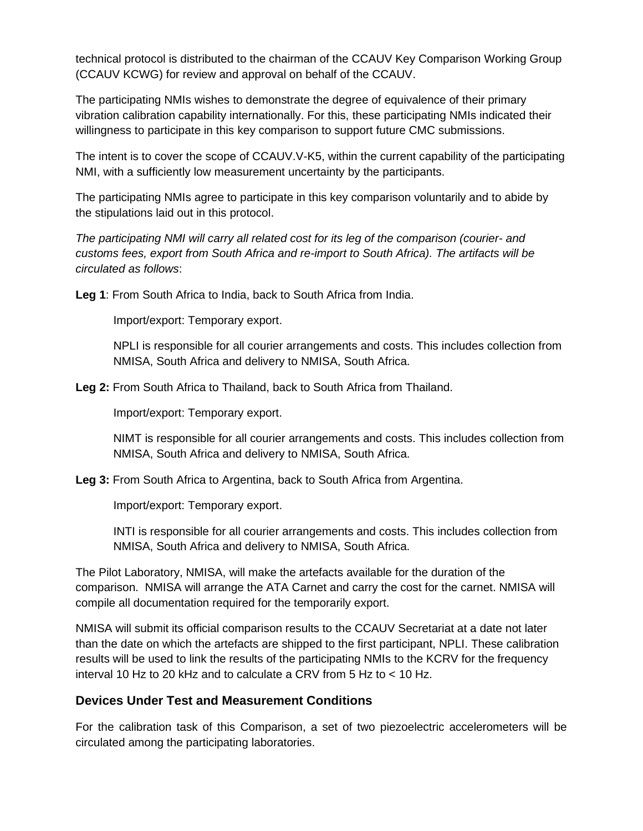technical protocol is distributed to the chairman of the CCAUV Key Comparison Working Group (CCAUV KCWG) for review and approval on behalf of the CCAUV.

The participating NMIs wishes to demonstrate the degree of equivalence of their primary vibration calibration capability internationally. For this, these participating NMIs indicated their willingness to participate in this key comparison to support future CMC submissions.

The intent is to cover the scope of CCAUV.V-K5, within the current capability of the participating NMI, with a sufficiently low measurement uncertainty by the participants.

The participating NMIs agree to participate in this key comparison voluntarily and to abide by the stipulations laid out in this protocol.

*The participating NMI will carry all related cost for its leg of the comparison (courier- and customs fees, export from South Africa and re-import to South Africa). The artifacts will be circulated as follows*:

**Leg 1**: From South Africa to India, back to South Africa from India.

Import/export: Temporary export.

NPLI is responsible for all courier arrangements and costs. This includes collection from NMISA, South Africa and delivery to NMISA, South Africa.

**Leg 2:** From South Africa to Thailand, back to South Africa from Thailand.

Import/export: Temporary export.

NIMT is responsible for all courier arrangements and costs. This includes collection from NMISA, South Africa and delivery to NMISA, South Africa.

**Leg 3:** From South Africa to Argentina, back to South Africa from Argentina.

Import/export: Temporary export.

INTI is responsible for all courier arrangements and costs. This includes collection from NMISA, South Africa and delivery to NMISA, South Africa.

The Pilot Laboratory, NMISA, will make the artefacts available for the duration of the comparison. NMISA will arrange the ATA Carnet and carry the cost for the carnet. NMISA will compile all documentation required for the temporarily export.

NMISA will submit its official comparison results to the CCAUV Secretariat at a date not later than the date on which the artefacts are shipped to the first participant, NPLI. These calibration results will be used to link the results of the participating NMIs to the KCRV for the frequency interval 10 Hz to 20 kHz and to calculate a CRV from 5 Hz to < 10 Hz.

## **Devices Under Test and Measurement Conditions**

For the calibration task of this Comparison, a set of two piezoelectric accelerometers will be circulated among the participating laboratories.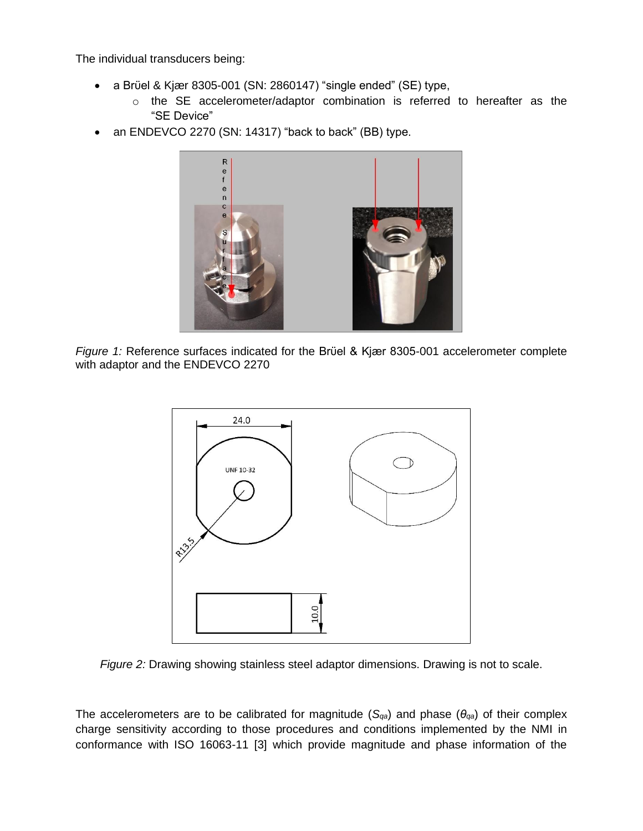The individual transducers being:

- a Brϋel & Kjær 8305-001 (SN: 2860147) "single ended" (SE) type,
	- o the SE accelerometer/adaptor combination is referred to hereafter as the "SE Device"
- an ENDEVCO 2270 (SN: 14317) "back to back" (BB) type.



*Figure 1:* Reference surfaces indicated for the Brϋel & Kjær 8305-001 accelerometer complete with adaptor and the ENDEVCO 2270



*Figure 2:* Drawing showing stainless steel adaptor dimensions. Drawing is not to scale.

The accelerometers are to be calibrated for magnitude (*Sqa*) and phase (*θqa*) of their complex charge sensitivity according to those procedures and conditions implemented by the NMI in conformance with ISO 16063-11 [3] which provide magnitude and phase information of the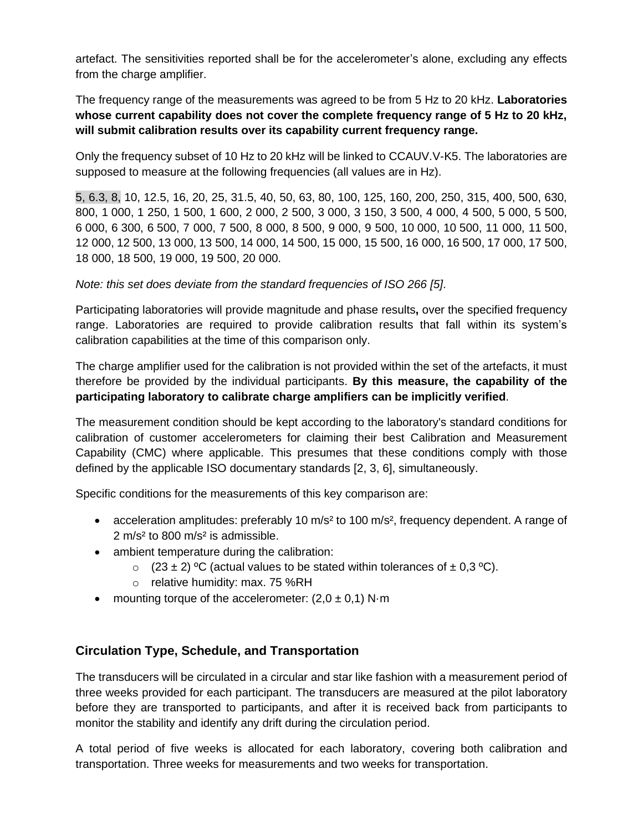artefact. The sensitivities reported shall be for the accelerometer's alone, excluding any effects from the charge amplifier.

The frequency range of the measurements was agreed to be from 5 Hz to 20 kHz. **Laboratories whose current capability does not cover the complete frequency range of 5 Hz to 20 kHz, will submit calibration results over its capability current frequency range.**

Only the frequency subset of 10 Hz to 20 kHz will be linked to CCAUV.V-K5. The laboratories are supposed to measure at the following frequencies (all values are in Hz).

5, 6.3, 8, 10, 12.5, 16, 20, 25, 31.5, 40, 50, 63, 80, 100, 125, 160, 200, 250, 315, 400, 500, 630, 800, 1 000, 1 250, 1 500, 1 600, 2 000, 2 500, 3 000, 3 150, 3 500, 4 000, 4 500, 5 000, 5 500, 6 000, 6 300, 6 500, 7 000, 7 500, 8 000, 8 500, 9 000, 9 500, 10 000, 10 500, 11 000, 11 500, 12 000, 12 500, 13 000, 13 500, 14 000, 14 500, 15 000, 15 500, 16 000, 16 500, 17 000, 17 500, 18 000, 18 500, 19 000, 19 500, 20 000.

*Note: this set does deviate from the standard frequencies of ISO 266 [5]*.

Participating laboratories will provide magnitude and phase results**,** over the specified frequency range. Laboratories are required to provide calibration results that fall within its system's calibration capabilities at the time of this comparison only.

The charge amplifier used for the calibration is not provided within the set of the artefacts, it must therefore be provided by the individual participants. **By this measure, the capability of the participating laboratory to calibrate charge amplifiers can be implicitly verified**.

The measurement condition should be kept according to the laboratory's standard conditions for calibration of customer accelerometers for claiming their best Calibration and Measurement Capability (CMC) where applicable. This presumes that these conditions comply with those defined by the applicable ISO documentary standards [2, 3, 6], simultaneously.

Specific conditions for the measurements of this key comparison are:

- acceleration amplitudes: preferably 10 m/s<sup>2</sup> to 100 m/s<sup>2</sup>, frequency dependent. A range of 2 m/s² to 800 m/s² is admissible.
- ambient temperature during the calibration:
	- $(23 \pm 2)$  <sup>o</sup>C (actual values to be stated within tolerances of  $\pm$  0,3 <sup>o</sup>C).
	- o relative humidity: max. 75 %RH
- mounting torque of the accelerometer:  $(2,0 \pm 0,1)$  N·m

# **Circulation Type, Schedule, and Transportation**

The transducers will be circulated in a circular and star like fashion with a measurement period of three weeks provided for each participant. The transducers are measured at the pilot laboratory before they are transported to participants, and after it is received back from participants to monitor the stability and identify any drift during the circulation period.

A total period of five weeks is allocated for each laboratory, covering both calibration and transportation. Three weeks for measurements and two weeks for transportation.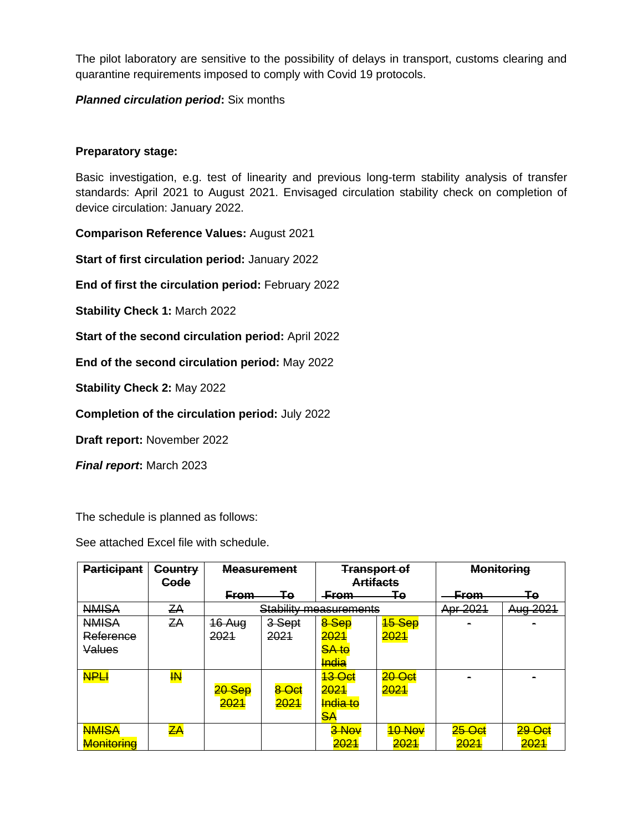The pilot laboratory are sensitive to the possibility of delays in transport, customs clearing and quarantine requirements imposed to comply with Covid 19 protocols.

## *Planned circulation period***:** Six months

## **Preparatory stage:**

Basic investigation, e.g. test of linearity and previous long-term stability analysis of transfer standards: April 2021 to August 2021. Envisaged circulation stability check on completion of device circulation: January 2022.

**Comparison Reference Values:** August 2021

**Start of first circulation period:** January 2022

**End of first the circulation period:** February 2022

**Stability Check 1:** March 2022

**Start of the second circulation period:** April 2022

**End of the second circulation period:** May 2022

**Stability Check 2:** May 2022

**Completion of the circulation period:** July 2022

**Draft report:** November 2022

*Final report***:** March 2023

The schedule is planned as follows:

See attached Excel file with schedule.

| <b>Participant</b> | <b>Country</b>          | <b>Measurement</b> |                               | <del>Transport of</del> |                     | <b>Monitoring</b> |                    |
|--------------------|-------------------------|--------------------|-------------------------------|-------------------------|---------------------|-------------------|--------------------|
|                    | <b>Code</b>             |                    |                               | <b>Artifacts</b>        |                     |                   |                    |
|                    |                         | <b>From</b>        | Τe                            | <b>From</b>             | Гο                  | <b>From</b>       | Тο                 |
| <b>NMISA</b>       | ZA                      |                    | <b>Stability measurements</b> | Apr 2021                | Aug 2021            |                   |                    |
| <b>NMISA</b>       | ZΑ                      | 16 Aug             | 3-Sept                        | 8 Sep                   | <mark>15 Sep</mark> |                   |                    |
| Reference          |                         | 2021               | 2021                          | 2021                    | 2021                |                   |                    |
| Values             |                         |                    |                               | <b>SA to</b>            |                     |                   |                    |
|                    |                         |                    |                               | <b>India</b>            |                     |                   |                    |
| <b>NPLI</b>        | $\overline{\textbf{M}}$ |                    |                               | <del>13 Oct</del>       | 20 Oct              |                   |                    |
|                    |                         | 20 Sep             | 8 Oct                         | 2021                    | 2021                |                   |                    |
|                    |                         | <mark>2021</mark>  | 2021                          | <mark>India to</mark>   |                     |                   |                    |
|                    |                         |                    |                               | SА                      |                     |                   |                    |
| <b>NMISA</b>       | $\mathsf{ZA}$           |                    |                               | 3 Nov                   | 10 Nov              | 25 Oct            | <mark>29 Ос</mark> |
| <b>Monitoring</b>  |                         |                    |                               | <mark>2021</mark>       | 2021                | 2021              | <mark>2021</mark>  |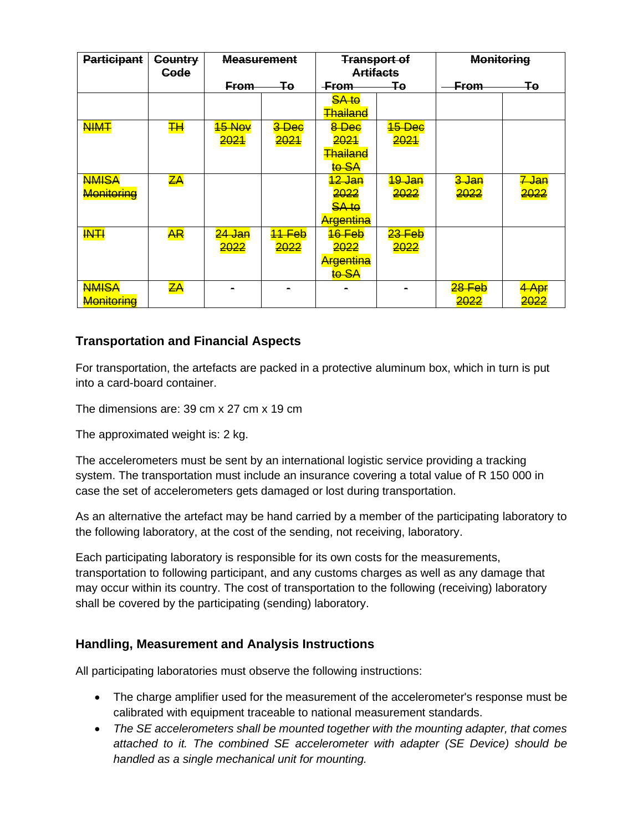| <b>Participant</b>         | <b>Country</b><br><b>Gode</b> | <b>Measurement</b>    |                | <b>Transport of</b><br><b>Artifacts</b>                |                           | <b>Monitoring</b>               |                          |
|----------------------------|-------------------------------|-----------------------|----------------|--------------------------------------------------------|---------------------------|---------------------------------|--------------------------|
|                            |                               | <b>From</b>           | Ŧө             | <b>From</b>                                            | Ŧө                        | <b>From</b>                     | ∓e                       |
|                            |                               |                       |                | <b>SA to</b><br><del>Thailand</del>                    |                           |                                 |                          |
| <b>NIMT</b>                | $H+$                          | 15 Nov<br><b>2021</b> | 3 Dec<br>2021  | 8 Dec<br><b>2021</b><br><b>Thailand</b><br>to SA       | 15 Dec<br>2021            |                                 |                          |
| <b>NMISA</b><br>Monitoring | $\overline{z}$ A              |                       |                | <del>12 Jan</del><br>2022<br><b>SA to</b><br>Argentina | <del>19 Jan</del><br>2022 | <del>3 Jan</del><br><b>2022</b> | <del>7 Jan</del><br>2022 |
| <b>INTI</b>                | <b>AR</b>                     | 24 Jan<br>2022        | 11 Feb<br>2022 | $16$ Feb<br>2022<br>Argentina<br>to SA                 | $23$ Feb<br>2022          |                                 |                          |
| <b>NMISA</b><br>Monitoring | $\overline{z}$ A              |                       |                |                                                        |                           | 28 Feb<br><mark>2022</mark>     | 4 Apr<br><del>2022</del> |

# **Transportation and Financial Aspects**

For transportation, the artefacts are packed in a protective aluminum box, which in turn is put into a card-board container.

The dimensions are: 39 cm x 27 cm x 19 cm

The approximated weight is: 2 kg.

The accelerometers must be sent by an international logistic service providing a tracking system. The transportation must include an insurance covering a total value of R 150 000 in case the set of accelerometers gets damaged or lost during transportation.

As an alternative the artefact may be hand carried by a member of the participating laboratory to the following laboratory, at the cost of the sending, not receiving, laboratory.

Each participating laboratory is responsible for its own costs for the measurements, transportation to following participant, and any customs charges as well as any damage that may occur within its country. The cost of transportation to the following (receiving) laboratory shall be covered by the participating (sending) laboratory.

# **Handling, Measurement and Analysis Instructions**

All participating laboratories must observe the following instructions:

- The charge amplifier used for the measurement of the accelerometer's response must be calibrated with equipment traceable to national measurement standards.
- *The SE accelerometers shall be mounted together with the mounting adapter, that comes attached to it. The combined SE accelerometer with adapter (SE Device) should be handled as a single mechanical unit for mounting.*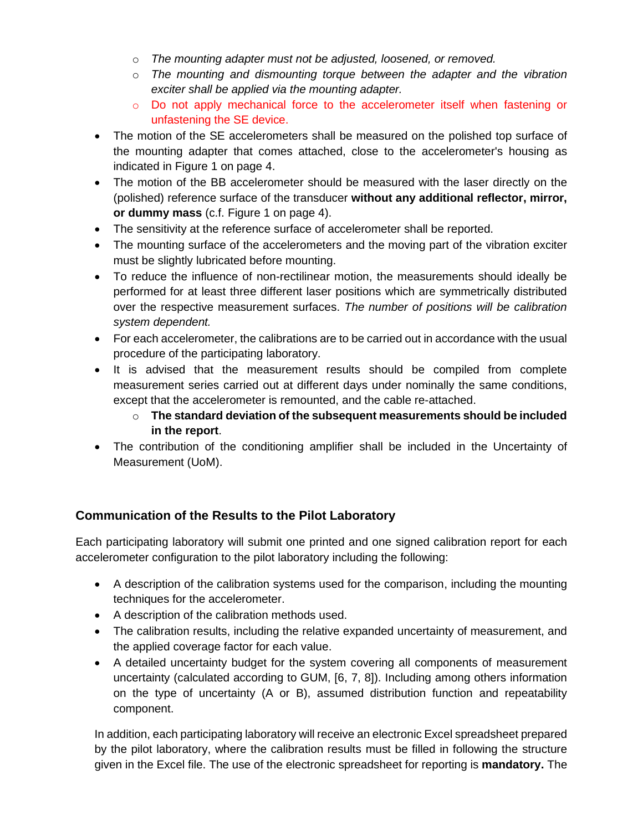- o *The mounting adapter must not be adjusted, loosened, or removed.*
- o *The mounting and dismounting torque between the adapter and the vibration exciter shall be applied via the mounting adapter.*
- o Do not apply mechanical force to the accelerometer itself when fastening or unfastening the SE device.
- The motion of the SE accelerometers shall be measured on the polished top surface of the mounting adapter that comes attached, close to the accelerometer's housing as indicated in Figure 1 on page 4.
- The motion of the BB accelerometer should be measured with the laser directly on the (polished) reference surface of the transducer **without any additional reflector, mirror, or dummy mass** (c.f. Figure 1 on page 4).
- The sensitivity at the reference surface of accelerometer shall be reported.
- The mounting surface of the accelerometers and the moving part of the vibration exciter must be slightly lubricated before mounting.
- To reduce the influence of non-rectilinear motion, the measurements should ideally be performed for at least three different laser positions which are symmetrically distributed over the respective measurement surfaces. *The number of positions will be calibration system dependent.*
- For each accelerometer, the calibrations are to be carried out in accordance with the usual procedure of the participating laboratory.
- It is advised that the measurement results should be compiled from complete measurement series carried out at different days under nominally the same conditions, except that the accelerometer is remounted, and the cable re-attached.
	- o **The standard deviation of the subsequent measurements should be included in the report**.
- The contribution of the conditioning amplifier shall be included in the Uncertainty of Measurement (UoM).

# **Communication of the Results to the Pilot Laboratory**

Each participating laboratory will submit one printed and one signed calibration report for each accelerometer configuration to the pilot laboratory including the following:

- A description of the calibration systems used for the comparison, including the mounting techniques for the accelerometer.
- A description of the calibration methods used.
- The calibration results, including the relative expanded uncertainty of measurement, and the applied coverage factor for each value.
- A detailed uncertainty budget for the system covering all components of measurement uncertainty (calculated according to GUM, [6, 7, 8]). Including among others information on the type of uncertainty (A or B), assumed distribution function and repeatability component.

In addition, each participating laboratory will receive an electronic Excel spreadsheet prepared by the pilot laboratory, where the calibration results must be filled in following the structure given in the Excel file. The use of the electronic spreadsheet for reporting is **mandatory.** The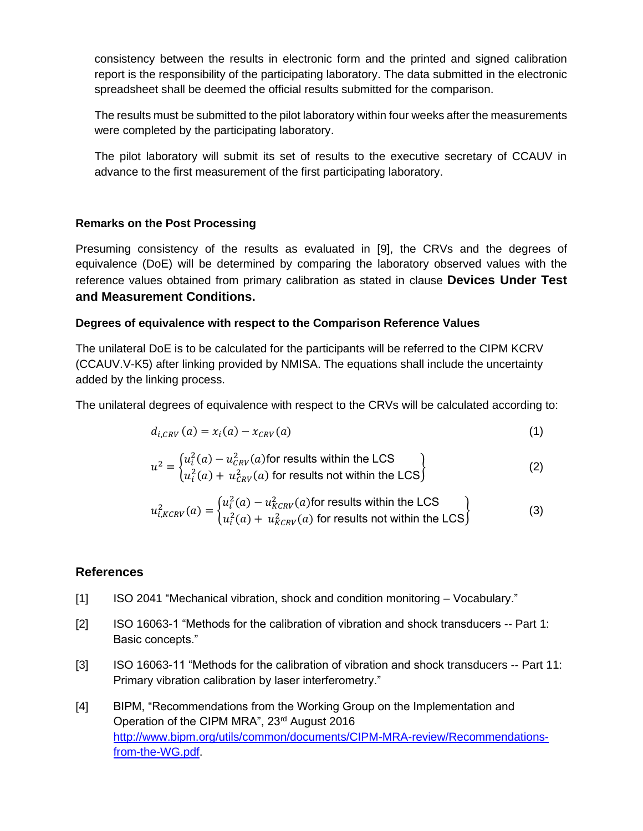consistency between the results in electronic form and the printed and signed calibration report is the responsibility of the participating laboratory. The data submitted in the electronic spreadsheet shall be deemed the official results submitted for the comparison.

The results must be submitted to the pilot laboratory within four weeks after the measurements were completed by the participating laboratory.

The pilot laboratory will submit its set of results to the executive secretary of CCAUV in advance to the first measurement of the first participating laboratory.

## **Remarks on the Post Processing**

Presuming consistency of the results as evaluated in [9], the CRVs and the degrees of equivalence (DoE) will be determined by comparing the laboratory observed values with the reference values obtained from primary calibration as stated in clause **Devices Under Test and Measurement Conditions.**

## **Degrees of equivalence with respect to the Comparison Reference Values**

The unilateral DoE is to be calculated for the participants will be referred to the CIPM KCRV (CCAUV.V-K5) after linking provided by NMISA. The equations shall include the uncertainty added by the linking process.

The unilateral degrees of equivalence with respect to the CRVs will be calculated according to:

$$
d_{i, CRV}(a) = x_i(a) - x_{CRV}(a)
$$
 (1)

$$
u^{2} = \begin{cases} u_{i}^{2}(a) - u_{CRV}^{2}(a) \text{ for results within the LCS} \\ u_{i}^{2}(a) + u_{CRV}^{2}(a) \text{ for results not within the LCS} \end{cases}
$$
 (2)

$$
u_{i,KCRV}^2(a) = \begin{cases} u_i^2(a) - u_{KCRV}^2(a) \text{ for results within the LCS} \\ u_i^2(a) + u_{KCRV}^2(a) \text{ for results not within the LCS} \end{cases}
$$
 (3)

## **References**

- [1] ISO 2041 "Mechanical vibration, shock and condition monitoring Vocabulary."
- [2] ISO 16063-1 "Methods for the calibration of vibration and shock transducers -- Part 1: Basic concepts."
- [3] ISO 16063-11 "Methods for the calibration of vibration and shock transducers -- Part 11: Primary vibration calibration by laser interferometry."
- [4] BIPM, "Recommendations from the Working Group on the Implementation and Operation of the CIPM MRA", 23rd August 2016 [http://www.bipm.org/utils/common/documents/CIPM-MRA-review/Recommendations](https://www.bipm.org/utils/common/documents/CIPM-MRA-review/Recommendations-from-the-WG.pdf)[from-the-WG.pdf.](https://www.bipm.org/utils/common/documents/CIPM-MRA-review/Recommendations-from-the-WG.pdf)